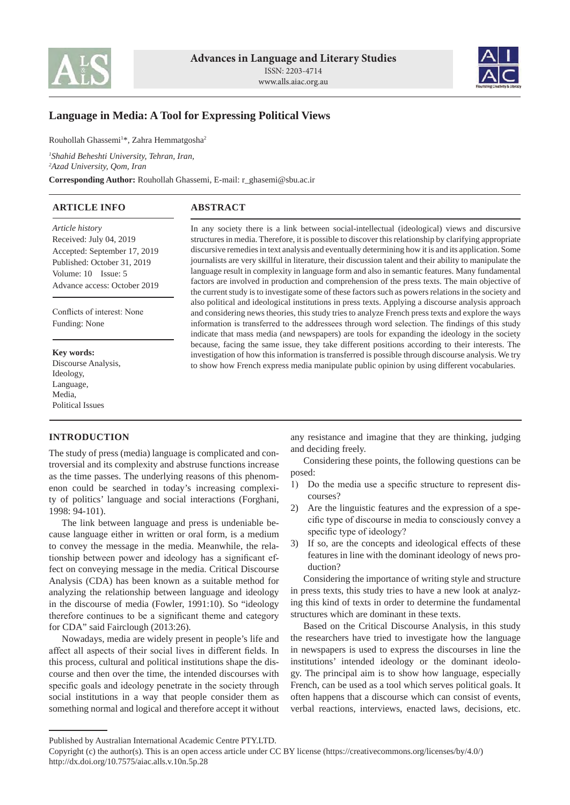



# **Language in Media: A Tool for Expressing Political Views**

Rouhollah Ghassemi<sup>1\*</sup>, Zahra Hemmatgosha<sup>2</sup>

*1 Shahid Beheshti University, Tehran, Iran,*

*2 Azad University, Qom, Iran*

**Corresponding Author:** Rouhollah Ghassemi, E-mail: r\_ghasemi@sbu.ac.ir

| <b>ARTICLE INFO</b> | <b>ABSTRACT</b> |
|---------------------|-----------------|
|                     |                 |

*Article history* Received: July 04, 2019 Accepted: September 17, 2019 Published: October 31, 2019 Volume: 10 Issue: 5 Advance access: October 2019

Conflicts of interest: None Funding: None

**Key words:** Discourse Analysis, Ideology, Language, Media, Political Issues

# **INTRODUCTION**

The study of press (media) language is complicated and controversial and its complexity and abstruse functions increase as the time passes. The underlying reasons of this phenomenon could be searched in today's increasing complexity of politics' language and social interactions (Forghani, 1998: 94-101).

The link between language and press is undeniable because language either in written or oral form, is a medium to convey the message in the media. Meanwhile, the relationship between power and ideology has a significant effect on conveying message in the media. Critical Discourse Analysis (CDA) has been known as a suitable method for analyzing the relationship between language and ideology in the discourse of media (Fowler, 1991:10). So "ideology therefore continues to be a significant theme and category for CDA" said Fairclough (2013:26).

Nowadays, media are widely present in people's life and affect all aspects of their social lives in different fields. In this process, cultural and political institutions shape the discourse and then over the time, the intended discourses with specific goals and ideology penetrate in the society through social institutions in a way that people consider them as something normal and logical and therefore accept it without

In any society there is a link between social-intellectual (ideological) views and discursive structures in media. Therefore, it is possible to discover this relationship by clarifying appropriate discursive remedies in text analysis and eventually determining how it is and its application. Some journalists are very skillful in literature, their discussion talent and their ability to manipulate the language result in complexity in language form and also in semantic features. Many fundamental factors are involved in production and comprehension of the press texts. The main objective of the current study is to investigate some of these factors such as powers relations in the society and also political and ideological institutions in press texts. Applying a discourse analysis approach and considering news theories, this study tries to analyze French press texts and explore the ways information is transferred to the addressees through word selection. The findings of this study indicate that mass media (and newspapers) are tools for expanding the ideology in the society because, facing the same issue, they take different positions according to their interests. The investigation of how this information is transferred is possible through discourse analysis. We try to show how French express media manipulate public opinion by using different vocabularies.

> any resistance and imagine that they are thinking, judging and deciding freely.

> Considering these points, the following questions can be posed:

- 1) Do the media use a specific structure to represent discourses?
- 2) Are the linguistic features and the expression of a specific type of discourse in media to consciously convey a specific type of ideology?
- 3) If so, are the concepts and ideological effects of these features in line with the dominant ideology of news production?

Considering the importance of writing style and structure in press texts, this study tries to have a new look at analyzing this kind of texts in order to determine the fundamental structures which are dominant in these texts.

Based on the Critical Discourse Analysis, in this study the researchers have tried to investigate how the language in newspapers is used to express the discourses in line the institutions' intended ideology or the dominant ideology. The principal aim is to show how language, especially French, can be used as a tool which serves political goals. It often happens that a discourse which can consist of events, verbal reactions, interviews, enacted laws, decisions, etc.

Published by Australian International Academic Centre PTY.LTD.

Copyright (c) the author(s). This is an open access article under CC BY license (https://creativecommons.org/licenses/by/4.0/) http://dx.doi.org/10.7575/aiac.alls.v.10n.5p.28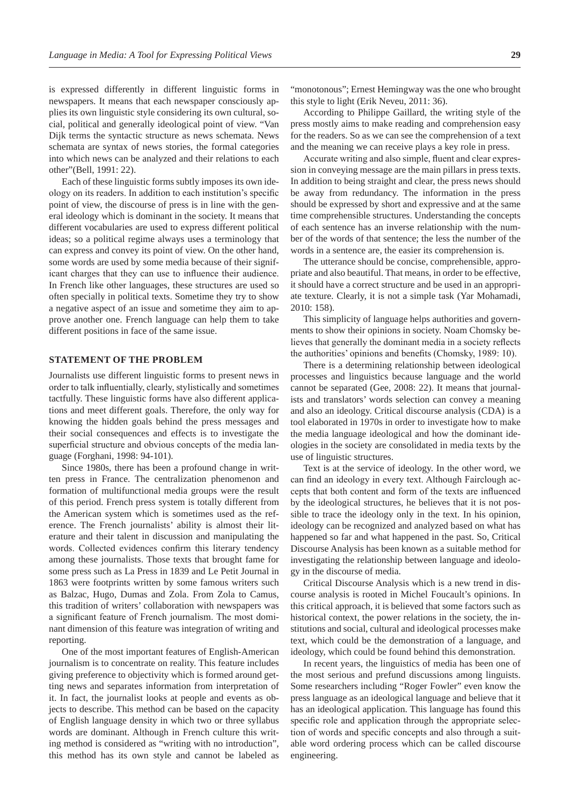is expressed differently in different linguistic forms in newspapers. It means that each newspaper consciously applies its own linguistic style considering its own cultural, social, political and generally ideological point of view. "Van Dijk terms the syntactic structure as news schemata. News schemata are syntax of news stories, the formal categories into which news can be analyzed and their relations to each other"(Bell, 1991: 22).

Each of these linguistic forms subtly imposes its own ideology on its readers. In addition to each institution's specific point of view, the discourse of press is in line with the general ideology which is dominant in the society. It means that different vocabularies are used to express different political ideas; so a political regime always uses a terminology that can express and convey its point of view. On the other hand, some words are used by some media because of their significant charges that they can use to influence their audience. In French like other languages, these structures are used so often specially in political texts. Sometime they try to show a negative aspect of an issue and sometime they aim to approve another one. French language can help them to take different positions in face of the same issue.

### **STATEMENT OF THE PROBLEM**

Journalists use different linguistic forms to present news in order to talk influentially, clearly, stylistically and sometimes tactfully. These linguistic forms have also different applications and meet different goals. Therefore, the only way for knowing the hidden goals behind the press messages and their social consequences and effects is to investigate the superficial structure and obvious concepts of the media language (Forghani, 1998: 94-101).

Since 1980s, there has been a profound change in written press in France. The centralization phenomenon and formation of multifunctional media groups were the result of this period. French press system is totally different from the American system which is sometimes used as the reference. The French journalists' ability is almost their literature and their talent in discussion and manipulating the words. Collected evidences confirm this literary tendency among these journalists. Those texts that brought fame for some press such as La Press in 1839 and Le Petit Journal in 1863 were footprints written by some famous writers such as Balzac, Hugo, Dumas and Zola. From Zola to Camus, this tradition of writers' collaboration with newspapers was a significant feature of French journalism. The most dominant dimension of this feature was integration of writing and reporting.

One of the most important features of English-American journalism is to concentrate on reality. This feature includes giving preference to objectivity which is formed around getting news and separates information from interpretation of it. In fact, the journalist looks at people and events as objects to describe. This method can be based on the capacity of English language density in which two or three syllabus words are dominant. Although in French culture this writing method is considered as "writing with no introduction", this method has its own style and cannot be labeled as

"monotonous"; Ernest Hemingway was the one who brought this style to light (Erik Neveu, 2011: 36).

According to Philippe Gaillard, the writing style of the press mostly aims to make reading and comprehension easy for the readers. So as we can see the comprehension of a text and the meaning we can receive plays a key role in press.

Accurate writing and also simple, fluent and clear expression in conveying message are the main pillars in press texts. In addition to being straight and clear, the press news should be away from redundancy. The information in the press should be expressed by short and expressive and at the same time comprehensible structures. Understanding the concepts of each sentence has an inverse relationship with the number of the words of that sentence; the less the number of the words in a sentence are, the easier its comprehension is.

The utterance should be concise, comprehensible, appropriate and also beautiful. That means, in order to be effective, it should have a correct structure and be used in an appropriate texture. Clearly, it is not a simple task (Yar Mohamadi, 2010: 158).

This simplicity of language helps authorities and governments to show their opinions in society. Noam Chomsky believes that generally the dominant media in a society reflects the authorities' opinions and benefits (Chomsky, 1989: 10).

There is a determining relationship between ideological processes and linguistics because language and the world cannot be separated (Gee, 2008: 22). It means that journalists and translators' words selection can convey a meaning and also an ideology. Critical discourse analysis (CDA) is a tool elaborated in 1970s in order to investigate how to make the media language ideological and how the dominant ideologies in the society are consolidated in media texts by the use of linguistic structures.

Text is at the service of ideology. In the other word, we can find an ideology in every text. Although Fairclough accepts that both content and form of the texts are influenced by the ideological structures, he believes that it is not possible to trace the ideology only in the text. In his opinion, ideology can be recognized and analyzed based on what has happened so far and what happened in the past. So, Critical Discourse Analysis has been known as a suitable method for investigating the relationship between language and ideology in the discourse of media.

Critical Discourse Analysis which is a new trend in discourse analysis is rooted in Michel Foucault's opinions. In this critical approach, it is believed that some factors such as historical context, the power relations in the society, the institutions and social, cultural and ideological processes make text, which could be the demonstration of a language, and ideology, which could be found behind this demonstration.

In recent years, the linguistics of media has been one of the most serious and prefund discussions among linguists. Some researchers including "Roger Fowler" even know the press language as an ideological language and believe that it has an ideological application. This language has found this specific role and application through the appropriate selection of words and specific concepts and also through a suitable word ordering process which can be called discourse engineering.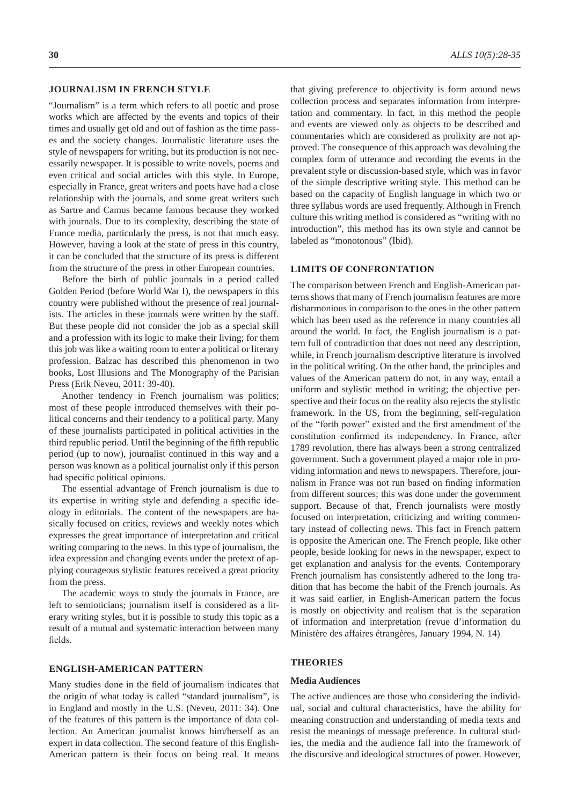### **JOURNALISM IN FRENCH STYLE**

"Journalism" is a term which refers to all poetic and prose works which are affected by the events and topics of their times and usually get old and out of fashion as the time passes and the society changes. Journalistic literature uses the style of newspapers for writing, but its production is not necessarily newspaper. It is possible to write novels, poems and even critical and social articles with this style. In Europe, especially in France, great writers and poets have had a close relationship with the journals, and some great writers such as Sartre and Camus became famous because they worked with journals. Due to its complexity, describing the state of France media, particularly the press, is not that much easy. However, having a look at the state of press in this country, it can be concluded that the structure of its press is different from the structure of the press in other European countries.

Before the birth of public journals in a period called Golden Period (before World War I), the newspapers in this country were published without the presence of real journalists. The articles in these journals were written by the staff. But these people did not consider the job as a special skill and a profession with its logic to make their living; for them this job was like a waiting room to enter a political or literary profession. Balzac has described this phenomenon in two books, Lost Illusions and The Monography of the Parisian Press (Erik Neveu, 2011: 39-40).

Another tendency in French journalism was politics; most of these people introduced themselves with their political concerns and their tendency to a political party. Many of these journalists participated in political activities in the third republic period. Until the beginning of the fifth republic period (up to now), journalist continued in this way and a person was known as a political journalist only if this person had specific political opinions.

The essential advantage of French journalism is due to its expertise in writing style and defending a specific ideology in editorials. The content of the newspapers are basically focused on critics, reviews and weekly notes which expresses the great importance of interpretation and critical writing comparing to the news. In this type of journalism, the idea expression and changing events under the pretext of applying courageous stylistic features received a great priority from the press.

The academic ways to study the journals in France, are left to semioticians; journalism itself is considered as a literary writing styles, but it is possible to study this topic as a result of a mutual and systematic interaction between many fields.

### **ENGLISH-AMERICAN PATTERN**

Many studies done in the field of journalism indicates that the origin of what today is called "standard journalism", is in England and mostly in the U.S. (Neveu, 2011: 34). One of the features of this pattern is the importance of data collection. An American journalist knows him/herself as an expert in data collection. The second feature of this English-American pattern is their focus on being real. It means

that giving preference to objectivity is form around news collection process and separates information from interpretation and commentary. In fact, in this method the people and events are viewed only as objects to be described and commentaries which are considered as prolixity are not approved. The consequence of this approach was devaluing the complex form of utterance and recording the events in the prevalent style or discussion-based style, which was in favor of the simple descriptive writing style. This method can be based on the capacity of English language in which two or three syllabus words are used frequently. Although in French culture this writing method is considered as "writing with no introduction", this method has its own style and cannot be labeled as "monotonous" (Ibid).

## **LIMITS OF CONFRONTATION**

The comparison between French and English-American patterns shows that many of French journalism features are more disharmonious in comparison to the ones in the other pattern which has been used as the reference in many countries all around the world. In fact, the English journalism is a pattern full of contradiction that does not need any description, while, in French journalism descriptive literature is involved in the political writing. On the other hand, the principles and values of the American pattern do not, in any way, entail a uniform and stylistic method in writing; the objective perspective and their focus on the reality also rejects the stylistic framework. In the US, from the beginning, self-regulation of the "forth power" existed and the first amendment of the constitution confirmed its independency. In France, after 1789 revolution, there has always been a strong centralized government. Such a government played a major role in providing information and news to newspapers. Therefore, journalism in France was not run based on finding information from different sources; this was done under the government support. Because of that, French journalists were mostly focused on interpretation, criticizing and writing commentary instead of collecting news. This fact in French pattern is opposite the American one. The French people, like other people, beside looking for news in the newspaper, expect to get explanation and analysis for the events. Contemporary French journalism has consistently adhered to the long tradition that has become the habit of the French journals. As it was said earlier, in English-American pattern the focus is mostly on objectivity and realism that is the separation of information and interpretation (revue d'information du Ministère des affaires étrangères, January 1994, N. 14)

# **THEORIES**

#### **Media Audiences**

The active audiences are those who considering the individual, social and cultural characteristics, have the ability for meaning construction and understanding of media texts and resist the meanings of message preference. In cultural studies, the media and the audience fall into the framework of the discursive and ideological structures of power. However,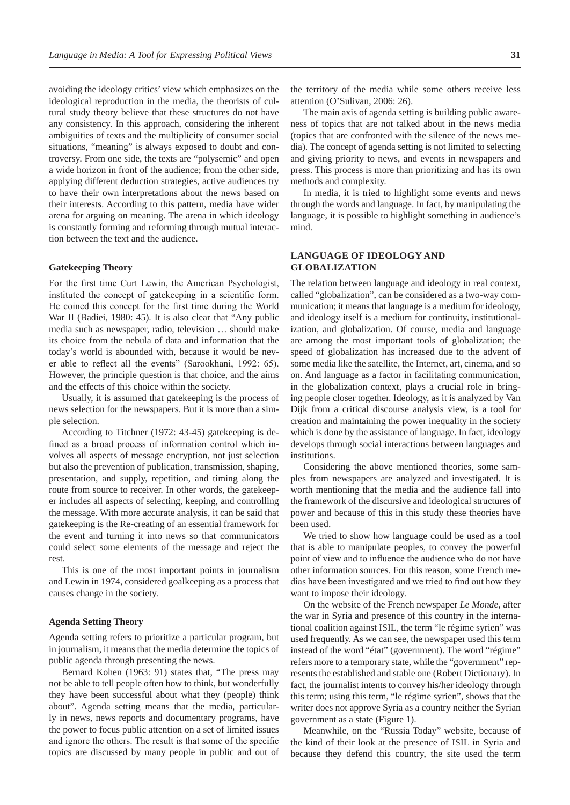avoiding the ideology critics' view which emphasizes on the ideological reproduction in the media, the theorists of cultural study theory believe that these structures do not have any consistency. In this approach, considering the inherent ambiguities of texts and the multiplicity of consumer social situations, "meaning" is always exposed to doubt and controversy. From one side, the texts are "polysemic" and open a wide horizon in front of the audience; from the other side, applying different deduction strategies, active audiences try to have their own interpretations about the news based on their interests. According to this pattern, media have wider arena for arguing on meaning. The arena in which ideology is constantly forming and reforming through mutual interaction between the text and the audience.

#### **Gatekeeping Theory**

For the first time Curt Lewin, the American Psychologist, instituted the concept of gatekeeping in a scientific form. He coined this concept for the first time during the World War II (Badiei, 1980: 45). It is also clear that "Any public media such as newspaper, radio, television … should make its choice from the nebula of data and information that the today's world is abounded with, because it would be never able to reflect all the events" (Sarookhani, 1992: 65). However, the principle question is that choice, and the aims and the effects of this choice within the society.

Usually, it is assumed that gatekeeping is the process of news selection for the newspapers. But it is more than a simple selection.

According to Titchner (1972: 43-45) gatekeeping is defined as a broad process of information control which involves all aspects of message encryption, not just selection but also the prevention of publication, transmission, shaping, presentation, and supply, repetition, and timing along the route from source to receiver. In other words, the gatekeeper includes all aspects of selecting, keeping, and controlling the message. With more accurate analysis, it can be said that gatekeeping is the Re-creating of an essential framework for the event and turning it into news so that communicators could select some elements of the message and reject the rest.

This is one of the most important points in journalism and Lewin in 1974, considered goalkeeping as a process that causes change in the society.

#### **Agenda Setting Theory**

Agenda setting refers to prioritize a particular program, but in journalism, it means that the media determine the topics of public agenda through presenting the news.

Bernard Kohen (1963: 91) states that, "The press may not be able to tell people often how to think, but wonderfully they have been successful about what they (people) think about". Agenda setting means that the media, particularly in news, news reports and documentary programs, have the power to focus public attention on a set of limited issues and ignore the others. The result is that some of the specific topics are discussed by many people in public and out of

the territory of the media while some others receive less attention (O'Sulivan, 2006: 26).

The main axis of agenda setting is building public awareness of topics that are not talked about in the news media (topics that are confronted with the silence of the news media). The concept of agenda setting is not limited to selecting and giving priority to news, and events in newspapers and press. This process is more than prioritizing and has its own methods and complexity.

In media, it is tried to highlight some events and news through the words and language. In fact, by manipulating the language, it is possible to highlight something in audience's mind.

# **LANGUAGE OF IDEOLOGY AND GLOBALIZATION**

The relation between language and ideology in real context, called "globalization", can be considered as a two-way communication; it means that language is a medium for ideology, and ideology itself is a medium for continuity, institutionalization, and globalization. Of course, media and language are among the most important tools of globalization; the speed of globalization has increased due to the advent of some media like the satellite, the Internet, art, cinema, and so on. And language as a factor in facilitating communication, in the globalization context, plays a crucial role in bringing people closer together. Ideology, as it is analyzed by Van Dijk from a critical discourse analysis view, is a tool for creation and maintaining the power inequality in the society which is done by the assistance of language. In fact, ideology develops through social interactions between languages and institutions.

Considering the above mentioned theories, some samples from newspapers are analyzed and investigated. It is worth mentioning that the media and the audience fall into the framework of the discursive and ideological structures of power and because of this in this study these theories have been used.

We tried to show how language could be used as a tool that is able to manipulate peoples, to convey the powerful point of view and to influence the audience who do not have other information sources. For this reason, some French medias have been investigated and we tried to find out how they want to impose their ideology.

On the website of the French newspaper *Le Monde*, after the war in Syria and presence of this country in the international coalition against ISIL, the term "le régime syrien" was used frequently. As we can see, the newspaper used this term instead of the word "état" (government). The word "régime" refers more to a temporary state, while the "government" represents the established and stable one (Robert Dictionary). In fact, the journalist intents to convey his/her ideology through this term; using this term, "le régime syrien", shows that the writer does not approve Syria as a country neither the Syrian government as a state (Figure 1).

Meanwhile, on the "Russia Today" website, because of the kind of their look at the presence of ISIL in Syria and because they defend this country, the site used the term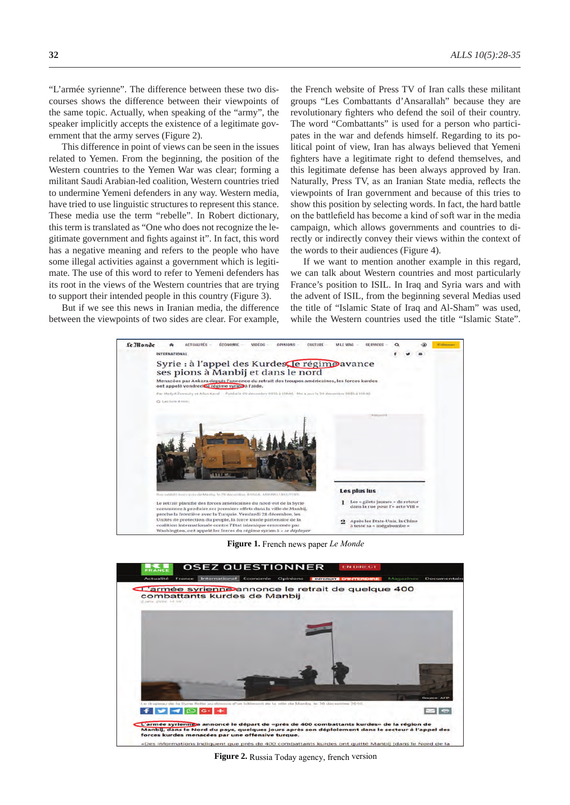"L'armée syrienne". The difference between these two discourses shows the difference between their viewpoints of the same topic. Actually, when speaking of the "army", the speaker implicitly accepts the existence of a legitimate government that the army serves (Figure 2).

This difference in point of views can be seen in the issues related to Yemen. From the beginning, the position of the Western countries to the Yemen War was clear; forming a militant Saudi Arabian-led coalition, Western countries tried to undermine Yemeni defenders in any way. Western media, have tried to use linguistic structures to represent this stance. These media use the term "rebelle". In Robert dictionary, this term is translated as "One who does not recognize the legitimate government and fights against it". In fact, this word has a negative meaning and refers to the people who have some illegal activities against a government which is legitimate. The use of this word to refer to Yemeni defenders has its root in the views of the Western countries that are trying to support their intended people in this country (Figure 3).

But if we see this news in Iranian media, the difference between the viewpoints of two sides are clear. For example, the French website of Press TV of Iran calls these militant groups "Les Combattants d'Ansarallah" because they are revolutionary fighters who defend the soil of their country. The word "Combattants" is used for a person who participates in the war and defends himself. Regarding to its political point of view, Iran has always believed that Yemeni fighters have a legitimate right to defend themselves, and this legitimate defense has been always approved by Iran. Naturally, Press TV, as an Iranian State media, reflects the viewpoints of Iran government and because of this tries to show this position by selecting words. In fact, the hard battle on the battlefield has become a kind of soft war in the media campaign, which allows governments and countries to directly or indirectly convey their views within the context of the words to their audiences (Figure 4).

If we want to mention another example in this regard, we can talk about Western countries and most particularly France's position to ISIL. In Iraq and Syria wars and with the advent of ISIL, from the beginning several Medias used the title of "Islamic State of Iraq and Al-Sham" was used, while the Western countries used the title "Islamic State".



**Figure 1.** French news paper *Le Monde*



**Figure 2.** Russia Today agency, french version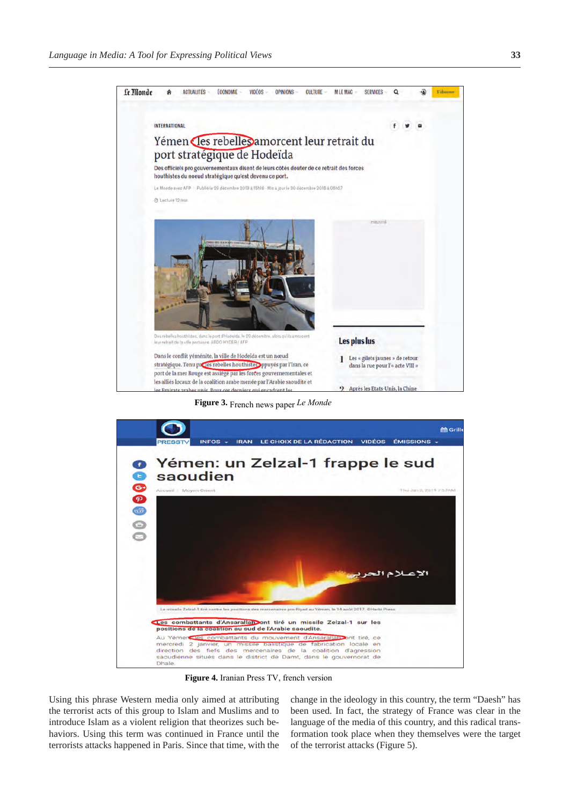

**Figure 3.** French news paper *Le Monde*



**Figure 4.** Iranian Press TV, french version

Using this phrase Western media only aimed at attributing the terrorist acts of this group to Islam and Muslims and to introduce Islam as a violent religion that theorizes such behaviors. Using this term was continued in France until the terrorists attacks happened in Paris. Since that time, with the

change in the ideology in this country, the term "Daesh" has been used. In fact, the strategy of France was clear in the language of the media of this country, and this radical transformation took place when they themselves were the target of the terrorist attacks (Figure 5).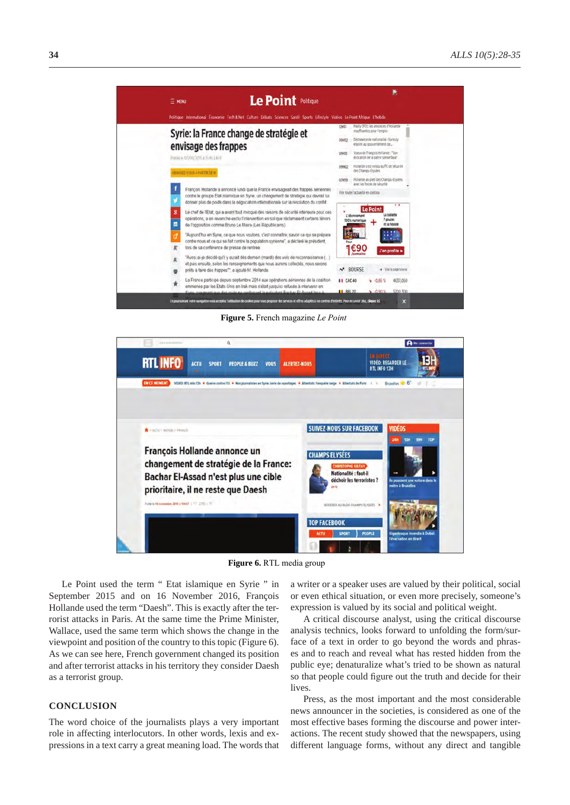

**Figure 5.** French magazine *Le Point*



**Figure 6.** RTL media group

Le Point used the term " Etat islamique en Syrie " in September 2015 and on 16 November 2016, François Hollande used the term "Daesh". This is exactly after the terrorist attacks in Paris. At the same time the Prime Minister, Wallace, used the same term which shows the change in the viewpoint and position of the country to this topic (Figure 6). As we can see here, French government changed its position and after terrorist attacks in his territory they consider Daesh as a terrorist group.

## **CONCLUSION**

The word choice of the journalists plays a very important role in affecting interlocutors. In other words, lexis and expressions in a text carry a great meaning load. The words that

a writer or a speaker uses are valued by their political, social or even ethical situation, or even more precisely, someone's expression is valued by its social and political weight.

A critical discourse analyst, using the critical discourse analysis technics, looks forward to unfolding the form/surface of a text in order to go beyond the words and phrases and to reach and reveal what has rested hidden from the public eye; denaturalize what's tried to be shown as natural so that people could figure out the truth and decide for their lives.

Press, as the most important and the most considerable news announcer in the societies, is considered as one of the most effective bases forming the discourse and power interactions. The recent study showed that the newspapers, using different language forms, without any direct and tangible